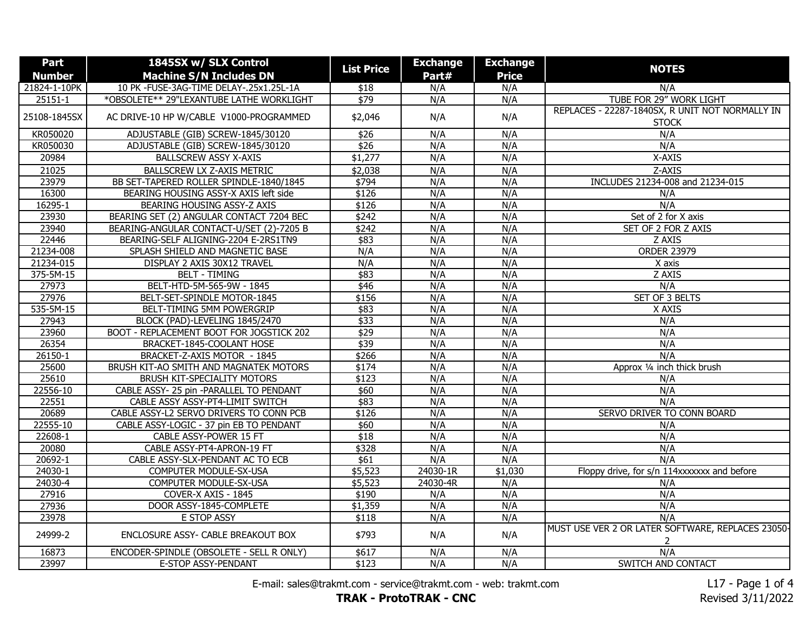| Part          | 1845SX w/ SLX Control                    |                   | <b>Exchange</b> | <b>Exchange</b> |                                                                 |
|---------------|------------------------------------------|-------------------|-----------------|-----------------|-----------------------------------------------------------------|
| <b>Number</b> | <b>Machine S/N Includes DN</b>           | <b>List Price</b> | Part#           | <b>Price</b>    | <b>NOTES</b>                                                    |
| 21824-1-10PK  | 10 PK -FUSE-3AG-TIME DELAY-.25x1.25L-1A  | \$18              | N/A             | N/A             | N/A                                                             |
| $25151 - 1$   | *OBSOLETE** 29"LEXANTUBE LATHE WORKLIGHT | $\sqrt{$79}$      | N/A             | N/A             | TUBE FOR 29" WORK LIGHT                                         |
| 25108-1845SX  | AC DRIVE-10 HP W/CABLE V1000-PROGRAMMED  | \$2,046           | N/A             | N/A             | REPLACES - 22287-1840SX, R UNIT NOT NORMALLY IN<br><b>STOCK</b> |
| KR050020      | ADJUSTABLE (GIB) SCREW-1845/30120        | \$26              | N/A             | N/A             | N/A                                                             |
| KR050030      | ADJUSTABLE (GIB) SCREW-1845/30120        | \$26              | N/A             | N/A             | N/A                                                             |
| 20984         | <b>BALLSCREW ASSY X-AXIS</b>             | \$1,277           | N/A             | N/A             | X-AXIS                                                          |
| 21025         | BALLSCREW LX Z-AXIS METRIC               | \$2,038           | N/A             | N/A             | Z-AXIS                                                          |
| 23979         | BB SET-TAPERED ROLLER SPINDLE-1840/1845  | \$794             | N/A             | N/A             | INCLUDES 21234-008 and 21234-015                                |
| 16300         | BEARING HOUSING ASSY-X AXIS left side    | \$126             | N/A             | N/A             | N/A                                                             |
| 16295-1       | BEARING HOUSING ASSY-Z AXIS              | \$126             | N/A             | N/A             | N/A                                                             |
| 23930         | BEARING SET (2) ANGULAR CONTACT 7204 BEC | \$242             | N/A             | N/A             | Set of 2 for X axis                                             |
| 23940         | BEARING-ANGULAR CONTACT-U/SET (2)-7205 B | \$242             | N/A             | N/A             | SET OF 2 FOR Z AXIS                                             |
| 22446         | BEARING-SELF ALIGNING-2204 E-2RS1TN9     | \$83              | N/A             | N/A             | Z AXIS                                                          |
| 21234-008     | SPLASH SHIELD AND MAGNETIC BASE          | N/A               | N/A             | N/A             | <b>ORDER 23979</b>                                              |
| 21234-015     | DISPLAY 2 AXIS 30X12 TRAVEL              | N/A               | N/A             | N/A             | X axis                                                          |
| 375-5M-15     | <b>BELT - TIMING</b>                     | \$83              | N/A             | N/A             | Z AXIS                                                          |
| 27973         | BELT-HTD-5M-565-9W - 1845                | \$46              | N/A             | N/A             | N/A                                                             |
| 27976         | BELT-SET-SPINDLE MOTOR-1845              | \$156             | N/A             | N/A             | SET OF 3 BELTS                                                  |
| 535-5M-15     | BELT-TIMING 5MM POWERGRIP                | \$83              | N/A             | N/A             | X AXIS                                                          |
| 27943         | BLOCK (PAD)-LEVELING 1845/2470           | \$33              | N/A             | N/A             | N/A                                                             |
| 23960         | BOOT - REPLACEMENT BOOT FOR JOGSTICK 202 | \$29              | N/A             | N/A             | N/A                                                             |
| 26354         | BRACKET-1845-COOLANT HOSE                | \$39              | N/A             | N/A             | N/A                                                             |
| $26150 - 1$   | BRACKET-Z-AXIS MOTOR - 1845              | \$266             | N/A             | N/A             | N/A                                                             |
| 25600         | BRUSH KIT-AO SMITH AND MAGNATEK MOTORS   | \$174             | N/A             | N/A             | Approx 1/4 inch thick brush                                     |
| 25610         | BRUSH KIT-SPECIALITY MOTORS              | \$123             | N/A             | N/A             | N/A                                                             |
| 22556-10      | CABLE ASSY- 25 pin -PARALLEL TO PENDANT  | \$60              | N/A             | N/A             | N/A                                                             |
| 22551         | CABLE ASSY ASSY-PT4-LIMIT SWITCH         | \$83              | N/A             | N/A             | N/A                                                             |
| 20689         | CABLE ASSY-L2 SERVO DRIVERS TO CONN PCB  | \$126             | N/A             | N/A             | SERVO DRIVER TO CONN BOARD                                      |
| 22555-10      | CABLE ASSY-LOGIC - 37 pin EB TO PENDANT  | \$60              | N/A             | N/A             | N/A                                                             |
| 22608-1       | CABLE ASSY-POWER 15 FT                   | $\sqrt{$18}$      | N/A             | N/A             | N/A                                                             |
| 20080         | CABLE ASSY-PT4-APRON-19 FT               | \$328             | N/A             | N/A             | N/A                                                             |
| 20692-1       | CABLE ASSY-SLX-PENDANT AC TO ECB         | \$61              | N/A             | N/A             | N/A                                                             |
| 24030-1       | COMPUTER MODULE-SX-USA                   | \$5,523           | 24030-1R        | \$1,030         | Floppy drive, for s/n 114xxxxxxx and before                     |
| 24030-4       | COMPUTER MODULE-SX-USA                   | \$5,523           | 24030-4R        | N/A             | N/A                                                             |
| 27916         | COVER-X AXIS - 1845                      | \$190             | N/A             | N/A             | N/A                                                             |
| 27936         | DOOR ASSY-1845-COMPLETE                  | \$1,359           | N/A             | N/A             | N/A                                                             |
| 23978         | E STOP ASSY                              | \$118             | N/A             | N/A             | N/A                                                             |
| 24999-2       | ENCLOSURE ASSY- CABLE BREAKOUT BOX       | \$793             | N/A             | N/A             | MUST USE VER 2 OR LATER SOFTWARE, REPLACES 23050-               |
| 16873         | ENCODER-SPINDLE (OBSOLETE - SELL R ONLY) | \$617             | N/A             | N/A             | N/A                                                             |
| 23997         | E-STOP ASSY-PENDANT                      | \$123             | N/A             | N/A             | SWITCH AND CONTACT                                              |

E-mail: sales@trakmt.com - service@trakmt.com - web: trakmt.com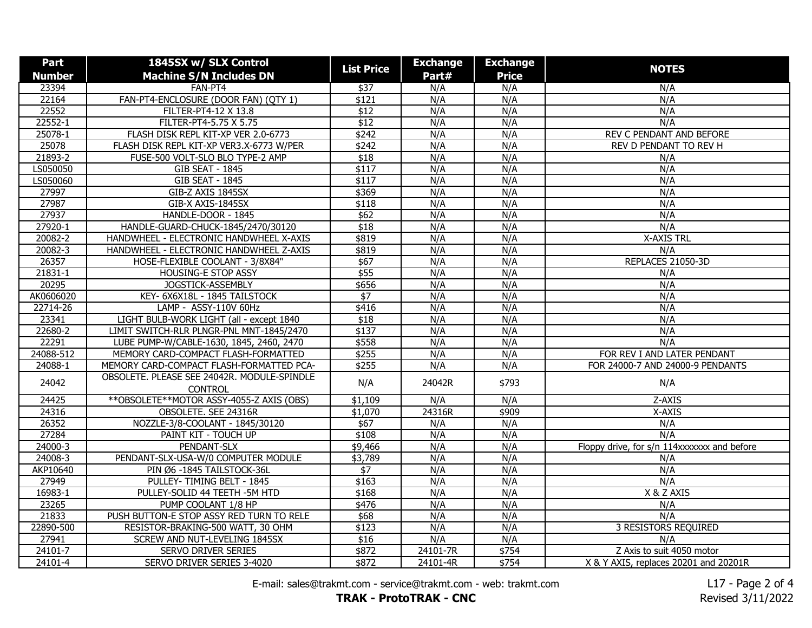| Part            | 1845SX w/ SLX Control                                         |                   | <b>Exchange</b> | <b>Exchange</b> |                                             |
|-----------------|---------------------------------------------------------------|-------------------|-----------------|-----------------|---------------------------------------------|
| <b>Number</b>   | <b>Machine S/N Includes DN</b>                                | <b>List Price</b> | Part#           | <b>Price</b>    | <b>NOTES</b>                                |
| 23394           | FAN-PT4                                                       | $\sqrt{$37}$      | N/A             | N/A             | N/A                                         |
| 22164           | FAN-PT4-ENCLOSURE (DOOR FAN) (QTY 1)                          | \$121             | N/A             | N/A             | N/A                                         |
| 22552           | FILTER-PT4-12 X 13.8                                          | $\overline{$12}$  | N/A             | N/A             | N/A                                         |
| 22552-1         | FILTER-PT4-5.75 X 5.75                                        | $\overline{$12}$  | N/A             | N/A             | N/A                                         |
| 25078-1         | FLASH DISK REPL KIT-XP VER 2.0-6773                           | \$242             | N/A             | N/A             | REV C PENDANT AND BEFORE                    |
| 25078           | FLASH DISK REPL KIT-XP VER3.X-6773 W/PER                      | \$242             | N/A             | N/A             | REV D PENDANT TO REV H                      |
| 21893-2         | FUSE-500 VOLT-SLO BLO TYPE-2 AMP                              | \$18              | N/A             | N/A             | N/A                                         |
| LS050050        | <b>GIB SEAT - 1845</b>                                        | \$117             | N/A             | N/A             | N/A                                         |
| LS050060        | <b>GIB SEAT - 1845</b>                                        | \$117             | N/A             | N/A             | N/A                                         |
| 27997           | GIB-Z AXIS 1845SX                                             | \$369             | N/A             | N/A             | N/A                                         |
| 27987           | GIB-X AXIS-1845SX                                             | \$118             | N/A             | N/A             | N/A                                         |
| 27937           | HANDLE-DOOR - 1845                                            | \$62              | N/A             | N/A             | N/A                                         |
| 27920-1         | HANDLE-GUARD-CHUCK-1845/2470/30120                            | \$18              | N/A             | N/A             | N/A                                         |
| 20082-2         | HANDWHEEL - ELECTRONIC HANDWHEEL X-AXIS                       | \$819             | N/A             | N/A             | <b>X-AXIS TRL</b>                           |
| 20082-3         | HANDWHEEL - ELECTRONIC HANDWHEEL Z-AXIS                       | \$819             | N/A             | N/A             | N/A                                         |
| 26357           | HOSE-FLEXIBLE COOLANT - 3/8X84"                               | \$67              | N/A             | N/A             | REPLACES 21050-3D                           |
| $21831 - 1$     | HOUSING-E STOP ASSY                                           | \$55              | N/A             | N/A             | N/A                                         |
| 20295           | JOGSTICK-ASSEMBLY                                             | \$656             | N/A             | N/A             | N/A                                         |
| AK0606020       | KEY- 6X6X18L - 1845 TAILSTOCK                                 | $\overline{\$7}$  | N/A             | N/A             | N/A                                         |
| 22714-26        | LAMP - ASSY-110V 60Hz                                         | \$416             | N/A             | N/A             | N/A                                         |
| 23341           | LIGHT BULB-WORK LIGHT (all - except 1840                      | \$18              | N/A             | N/A             | N/A                                         |
| 22680-2         | LIMIT SWITCH-RLR PLNGR-PNL MNT-1845/2470                      | \$137             | N/A             | N/A             | N/A                                         |
| 22291           | LUBE PUMP-W/CABLE-1630, 1845, 2460, 2470                      | \$558             | N/A             | N/A             | N/A                                         |
| 24088-512       | MEMORY CARD-COMPACT FLASH-FORMATTED                           | \$255             | N/A             | N/A             | FOR REV I AND LATER PENDANT                 |
| 24088-1         | MEMORY CARD-COMPACT FLASH-FORMATTED PCA-                      | \$255             | N/A             | N/A             | FOR 24000-7 AND 24000-9 PENDANTS            |
| 24042           | OBSOLETE. PLEASE SEE 24042R. MODULE-SPINDLE<br><b>CONTROL</b> | N/A               | 24042R          | \$793           | N/A                                         |
| 24425           | ** OBSOLETE ** MOTOR ASSY-4055-Z AXIS (OBS)                   | \$1,109           | N/A             | N/A             | Z-AXIS                                      |
| 24316           | OBSOLETE. SEE 24316R                                          | \$1,070           | 24316R          | \$909           | X-AXIS                                      |
| 26352           | NOZZLE-3/8-COOLANT - 1845/30120                               | \$67              | N/A             | N/A             | N/A                                         |
| 27284           | PAINT KIT - TOUCH UP                                          | \$108             | N/A             | N/A             | N/A                                         |
| 24000-3         | PENDANT-SLX                                                   | \$9,466           | N/A             | N/A             | Floppy drive, for s/n 114xxxxxxx and before |
| 24008-3         | PENDANT-SLX-USA-W/0 COMPUTER MODULE                           | \$3,789           | N/A             | N/A             | N/A                                         |
| <b>AKP10640</b> | PIN Ø6 -1845 TAILSTOCK-36L                                    | $\overline{\$7}$  | N/A             | N/A             | N/A                                         |
| 27949           | PULLEY- TIMING BELT - 1845                                    | \$163             | N/A             | N/A             | N/A                                         |
| 16983-1         | PULLEY-SOLID 44 TEETH - 5M HTD                                | \$168             | N/A             | N/A             | X & Z AXIS                                  |
| 23265           | PUMP COOLANT 1/8 HP                                           | \$476             | N/A             | N/A             | N/A                                         |
| 21833           | PUSH BUTTON-E STOP ASSY RED TURN TO RELE                      | \$68              | N/A             | N/A             | N/A                                         |
| 22890-500       | RESISTOR-BRAKING-500 WATT, 30 OHM                             | \$123             | N/A             | N/A             | <b>3 RESISTORS REQUIRED</b>                 |
| 27941           | SCREW AND NUT-LEVELING 1845SX                                 | \$16              | N/A             | N/A             | N/A                                         |
| 24101-7         | SERVO DRIVER SERIES                                           | \$872             | 24101-7R        | \$754           | Z Axis to suit 4050 motor                   |
| 24101-4         | SERVO DRIVER SERIES 3-4020                                    | \$872             | 24101-4R        | \$754           | X & Y AXIS, replaces 20201 and 20201R       |

E-mail: sales@trakmt.com - service@trakmt.com - web: trakmt.com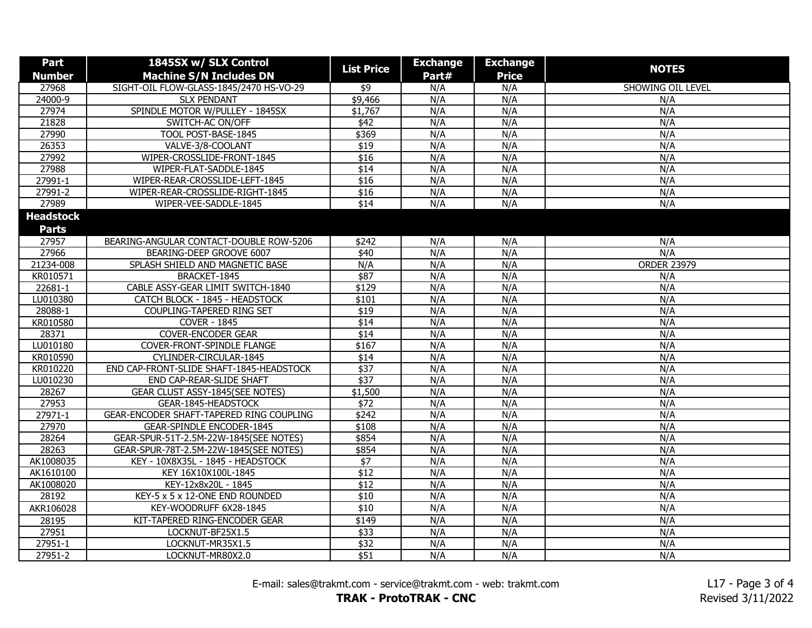| Part             | 1845SX w/ SLX Control                    |                   | <b>Exchange</b> | <b>Exchange</b> |                    |
|------------------|------------------------------------------|-------------------|-----------------|-----------------|--------------------|
| <b>Number</b>    | <b>Machine S/N Includes DN</b>           | <b>List Price</b> | Part#           | <b>Price</b>    | <b>NOTES</b>       |
| 27968            | SIGHT-OIL FLOW-GLASS-1845/2470 HS-VO-29  | \$9               | N/A             | N/A             | SHOWING OIL LEVEL  |
| 24000-9          | <b>SLX PENDANT</b>                       | \$9,466           | N/A             | N/A             | N/A                |
| 27974            | SPINDLE MOTOR W/PULLEY - 1845SX          | \$1,767           | N/A             | N/A             | N/A                |
| 21828            | SWITCH-AC ON/OFF                         | $\overline{$42}$  | N/A             | N/A             | N/A                |
| 27990            | TOOL POST-BASE-1845                      | \$369             | N/A             | N/A             | N/A                |
| 26353            | VALVE-3/8-COOLANT                        | $\overline{$19}$  | N/A             | N/A             | N/A                |
| 27992            | WIPER-CROSSLIDE-FRONT-1845               | $\overline{$16}$  | N/A             | N/A             | N/A                |
| 27988            | WIPER-FLAT-SADDLE-1845                   | $\sqrt{$14}$      | N/A             | N/A             | N/A                |
| 27991-1          | WIPER-REAR-CROSSLIDE-LEFT-1845           | \$16              | N/A             | N/A             | N/A                |
| 27991-2          | WIPER-REAR-CROSSLIDE-RIGHT-1845          | \$16              | N/A             | N/A             | N/A                |
| 27989            | WIPER-VEE-SADDLE-1845                    | $\sqrt{$14}$      | N/A             | N/A             | N/A                |
| <b>Headstock</b> |                                          |                   |                 |                 |                    |
| <b>Parts</b>     |                                          |                   |                 |                 |                    |
| 27957            | BEARING-ANGULAR CONTACT-DOUBLE ROW-5206  | \$242             | N/A             | N/A             | N/A                |
| 27966            | BEARING-DEEP GROOVE 6007                 | \$40              | N/A             | N/A             | N/A                |
| 21234-008        | SPLASH SHIELD AND MAGNETIC BASE          | N/A               | N/A             | N/A             | <b>ORDER 23979</b> |
| KR010571         | BRACKET-1845                             | \$87              | N/A             | N/A             | N/A                |
| 22681-1          | CABLE ASSY-GEAR LIMIT SWITCH-1840        | \$129             | N/A             | N/A             | N/A                |
| LU010380         | CATCH BLOCK - 1845 - HEADSTOCK           | \$101             | N/A             | N/A             | N/A                |
| 28088-1          | <b>COUPLING-TAPERED RING SET</b>         | \$19              | N/A             | N/A             | N/A                |
| KR010580         | <b>COVER - 1845</b>                      | $\sqrt{$14}$      | N/A             | N/A             | N/A                |
| 28371            | <b>COVER-ENCODER GEAR</b>                | \$14              | N/A             | N/A             | N/A                |
| LU010180         | <b>COVER-FRONT-SPINDLE FLANGE</b>        | \$167             | N/A             | N/A             | N/A                |
| KR010590         | CYLINDER-CIRCULAR-1845                   | $\sqrt{$14}$      | N/A             | N/A             | N/A                |
| KR010220         | END CAP-FRONT-SLIDE SHAFT-1845-HEADSTOCK | \$37              | N/A             | N/A             | N/A                |
| LU010230         | END CAP-REAR-SLIDE SHAFT                 | $\sqrt{$37}$      | N/A             | N/A             | N/A                |
| 28267            | <b>GEAR CLUST ASSY-1845(SEE NOTES)</b>   | \$1,500           | N/A             | N/A             | N/A                |
| 27953            | GEAR-1845-HEADSTOCK                      | \$72              | N/A             | N/A             | N/A                |
| 27971-1          | GEAR-ENCODER SHAFT-TAPERED RING COUPLING | \$242             | N/A             | N/A             | N/A                |
| 27970            | <b>GEAR-SPINDLE ENCODER-1845</b>         | \$108             | N/A             | N/A             | N/A                |
| 28264            | GEAR-SPUR-51T-2.5M-22W-1845(SEE NOTES)   | \$854             | N/A             | N/A             | N/A                |
| 28263            | GEAR-SPUR-78T-2.5M-22W-1845(SEE NOTES)   | \$854             | N/A             | N/A             | N/A                |
| AK1008035        | KEY - 10X8X35L - 1845 - HEADSTOCK        | $\overline{\$7}$  | N/A             | N/A             | N/A                |
| AK1610100        | KEY 16X10X100L-1845                      | $\overline{$12}$  | N/A             | N/A             | N/A                |
| AK1008020        | KEY-12x8x20L - 1845                      | \$12              | N/A             | N/A             | N/A                |
| 28192            | KEY-5 x 5 x 12-ONE END ROUNDED           | \$10              | N/A             | N/A             | N/A                |
| AKR106028        | KEY-WOODRUFF 6X28-1845                   | $\overline{$10}$  | N/A             | N/A             | N/A                |
| 28195            | KIT-TAPERED RING-ENCODER GEAR            | \$149             | N/A             | N/A             | N/A                |
| 27951            | LOCKNUT-BF25X1.5                         | \$33              | N/A             | N/A             | N/A                |
| 27951-1          | LOCKNUT-MR35X1.5                         | \$32              | N/A             | N/A             | N/A                |
| 27951-2          | LOCKNUT-MR80X2.0                         | \$51              | N/A             | N/A             | N/A                |

E-mail: sales@trakmt.com - service@trakmt.com - web: trakmt.com